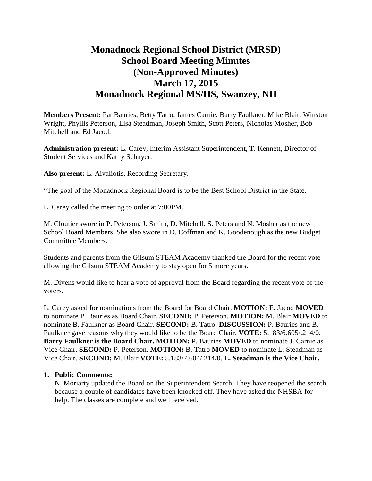# **Monadnock Regional School District (MRSD) School Board Meeting Minutes (Non-Approved Minutes) March 17, 2015 Monadnock Regional MS/HS, Swanzey, NH**

**Members Present:** Pat Bauries, Betty Tatro, James Carnie, Barry Faulkner, Mike Blair, Winston Wright, Phyllis Peterson, Lisa Steadman, Joseph Smith, Scott Peters, Nicholas Mosher, Bob Mitchell and Ed Jacod.

**Administration present:** L. Carey, Interim Assistant Superintendent, T. Kennett, Director of Student Services and Kathy Schnyer.

**Also present:** L. Aivaliotis, Recording Secretary.

"The goal of the Monadnock Regional Board is to be the Best School District in the State.

L. Carey called the meeting to order at 7:00PM.

M. Cloutier swore in P. Peterson, J. Smith, D. Mitchell, S. Peters and N. Mosher as the new School Board Members. She also swore in D. Coffman and K. Goodenough as the new Budget Committee Members.

Students and parents from the Gilsum STEAM Academy thanked the Board for the recent vote allowing the Gilsum STEAM Academy to stay open for 5 more years.

M. Divens would like to hear a vote of approval from the Board regarding the recent vote of the voters.

L. Carey asked for nominations from the Board for Board Chair. **MOTION:** E. Jacod **MOVED**  to nominate P. Bauries as Board Chair. **SECOND:** P. Peterson. **MOTION:** M. Blair **MOVED** to nominate B. Faulkner as Board Chair. **SECOND:** B. Tatro. **DISCUSSION:** P. Bauries and B. Faulkner gave reasons why they would like to be the Board Chair. **VOTE:** 5.183/6.605/.214/0. **Barry Faulkner is the Board Chair. MOTION:** P. Bauries **MOVED** to nominate J. Carnie as Vice Chair. **SECOND:** P. Peterson. **MOTION:** B. Tatro **MOVED** to nominate L. Steadman as Vice Chair. **SECOND:** M. Blair **VOTE:** 5.183/7.604/.214/0. **L. Steadman is the Vice Chair.** 

#### **1. Public Comments:**

N. Moriarty updated the Board on the Superintendent Search. They have reopened the search because a couple of candidates have been knocked off. They have asked the NHSBA for help. The classes are complete and well received.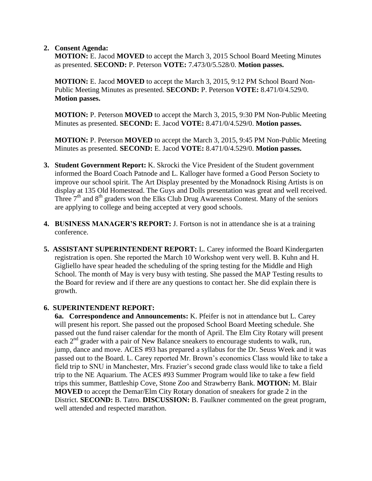#### **2. Consent Agenda:**

**MOTION:** E. Jacod **MOVED** to accept the March 3, 2015 School Board Meeting Minutes as presented. **SECOND:** P. Peterson **VOTE:** 7.473/0/5.528/0. **Motion passes.** 

**MOTION:** E. Jacod **MOVED** to accept the March 3, 2015, 9:12 PM School Board Non-Public Meeting Minutes as presented. **SECOND:** P. Peterson **VOTE:** 8.471/0/4.529/0. **Motion passes.** 

**MOTION:** P. Peterson **MOVED** to accept the March 3, 2015, 9:30 PM Non-Public Meeting Minutes as presented. **SECOND:** E. Jacod **VOTE:** 8.471/0/4.529/0. **Motion passes.**

**MOTION:** P. Peterson **MOVED** to accept the March 3, 2015, 9:45 PM Non-Public Meeting Minutes as presented. **SECOND:** E. Jacod **VOTE:** 8.471/0/4.529/0. **Motion passes.**

- **3. Student Government Report:** K. Skrocki the Vice President of the Student government informed the Board Coach Patnode and L. Kalloger have formed a Good Person Society to improve our school spirit. The Art Display presented by the Monadnock Rising Artists is on display at 135 Old Homestead. The Guys and Dolls presentation was great and well received. Three  $7<sup>th</sup>$  and  $8<sup>th</sup>$  graders won the Elks Club Drug Awareness Contest. Many of the seniors are applying to college and being accepted at very good schools.
- **4. BUSINESS MANAGER'S REPORT:** J. Fortson is not in attendance she is at a training conference.
- **5. ASSISTANT SUPERINTENDENT REPORT:** L. Carey informed the Board Kindergarten registration is open. She reported the March 10 Workshop went very well. B. Kuhn and H. Gigliello have spear headed the scheduling of the spring testing for the Middle and High School. The month of May is very busy with testing. She passed the MAP Testing results to the Board for review and if there are any questions to contact her. She did explain there is growth.

# **6. SUPERINTENDENT REPORT:**

**6a. Correspondence and Announcements:** K. Pfeifer is not in attendance but L. Carey will present his report. She passed out the proposed School Board Meeting schedule. She passed out the fund raiser calendar for the month of April. The Elm City Rotary will present each  $2<sup>nd</sup>$  grader with a pair of New Balance sneakers to encourage students to walk, run, jump, dance and move. ACES #93 has prepared a syllabus for the Dr. Seuss Week and it was passed out to the Board. L. Carey reported Mr. Brown's economics Class would like to take a field trip to SNU in Manchester, Mrs. Frazier's second grade class would like to take a field trip to the NE Aquarium. The ACES #93 Summer Program would like to take a few field trips this summer, Battleship Cove, Stone Zoo and Strawberry Bank. **MOTION:** M. Blair **MOVED** to accept the Demar/Elm City Rotary donation of sneakers for grade 2 in the District. **SECOND:** B. Tatro. **DISCUSSION:** B. Faulkner commented on the great program, well attended and respected marathon.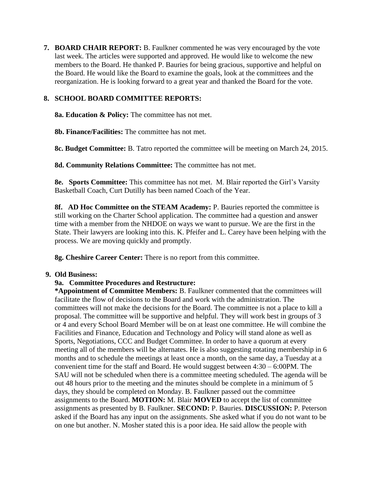**7. BOARD CHAIR REPORT:** B. Faulkner commented he was very encouraged by the vote last week. The articles were supported and approved. He would like to welcome the new members to the Board. He thanked P. Bauries for being gracious, supportive and helpful on the Board. He would like the Board to examine the goals, look at the committees and the reorganization. He is looking forward to a great year and thanked the Board for the vote.

## **8. SCHOOL BOARD COMMITTEE REPORTS:**

**8a. Education & Policy:** The committee has not met.

**8b. Finance/Facilities:** The committee has not met.

 **8c. Budget Committee:** B. Tatro reported the committee will be meeting on March 24, 2015.

**8d. Community Relations Committee:** The committee has not met.

 **8e. Sports Committee:** This committee has not met. M. Blair reported the Girl's Varsity Basketball Coach, Curt Dutilly has been named Coach of the Year.

**8f. AD Hoc Committee on the STEAM Academy:** P. Bauries reported the committee is still working on the Charter School application. The committee had a question and answer time with a member from the NHDOE on ways we want to pursue. We are the first in the State. Their lawyers are looking into this. K. Pfeifer and L. Carey have been helping with the process. We are moving quickly and promptly.

**8g. Cheshire Career Center:** There is no report from this committee.

### **9. Old Business:**

# **9a. Committee Procedures and Restructure:**

**\*Appointment of Committee Members:** B. Faulkner commented that the committees will facilitate the flow of decisions to the Board and work with the administration. The committees will not make the decisions for the Board. The committee is not a place to kill a proposal. The committee will be supportive and helpful. They will work best in groups of 3 or 4 and every School Board Member will be on at least one committee. He will combine the Facilities and Finance, Education and Technology and Policy will stand alone as well as Sports, Negotiations, CCC and Budget Committee. In order to have a quorum at every meeting all of the members will be alternates. He is also suggesting rotating membership in 6 months and to schedule the meetings at least once a month, on the same day, a Tuesday at a convenient time for the staff and Board. He would suggest between 4:30 – 6:00PM. The SAU will not be scheduled when there is a committee meeting scheduled. The agenda will be out 48 hours prior to the meeting and the minutes should be complete in a minimum of 5 days, they should be completed on Monday. B. Faulkner passed out the committee assignments to the Board. **MOTION:** M. Blair **MOVED** to accept the list of committee assignments as presented by B. Faulkner. **SECOND:** P. Bauries. **DISCUSSION:** P. Peterson asked if the Board has any input on the assignments. She asked what if you do not want to be on one but another. N. Mosher stated this is a poor idea. He said allow the people with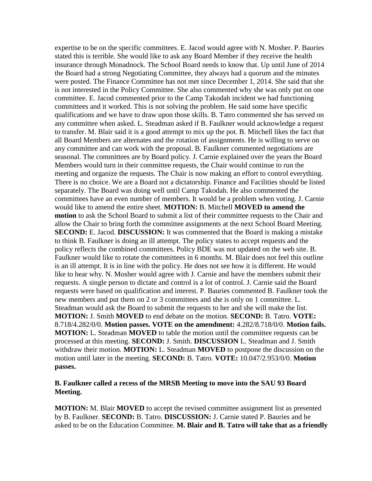expertise to be on the specific committees. E. Jacod would agree with N. Mosher. P. Bauries stated this is terrible. She would like to ask any Board Member if they receive the health insurance through Monadnock. The School Board needs to know that. Up until June of 2014 the Board had a strong Negotiating Committee, they always had a quorum and the minutes were posted. The Finance Committee has not met since December 1, 2014. She said that she is not interested in the Policy Committee. She also commented why she was only put on one committee. E. Jacod commented prior to the Camp Takodah incident we had functioning committees and it worked. This is not solving the problem. He said some have specific qualifications and we have to draw upon those skills. B. Tatro commented she has served on any committee when asked. L. Steadman asked if B. Faulkner would acknowledge a request to transfer. M. Blair said it is a good attempt to mix up the pot. B. Mitchell likes the fact that all Board Members are alternates and the rotation of assignments. He is willing to serve on any committee and can work with the proposal. B. Faulkner commented negotiations are seasonal. The committees are by Board policy. J. Carnie explained over the years the Board Members would turn in their committee requests, the Chair would continue to run the meeting and organize the requests. The Chair is now making an effort to control everything. There is no choice. We are a Board not a dictatorship. Finance and Facilities should be listed separately. The Board was doing well until Camp Takodah. He also commented the committees have an even number of members. It would be a problem when voting. J. Carnie would like to amend the entire sheet. **MOTION:** B. Mitchell **MOVED to amend the motion** to ask the School Board to submit a list of their committee requests to the Chair and allow the Chair to bring forth the committee assignments at the next School Board Meeting. **SECOND:** E. Jacod. **DISCUSSION:** It was commented that the Board is making a mistake to think B. Faulkner is doing an ill attempt. The policy states to accept requests and the policy reflects the combined committees. Policy BDE was not updated on the web site. B. Faulkner would like to rotate the committees in 6 months. M. Blair does not feel this outline is an ill attempt. It is in line with the policy. He does not see how it is different. He would like to hear why. N. Mosher would agree with J. Carnie and have the members submit their requests. A single person to dictate and control is a lot of control. J. Carnie said the Board requests were based on qualification and interest. P. Bauries commented B. Faulkner took the new members and put them on 2 or 3 committees and she is only on 1 committee. L. Steadman would ask the Board to submit the requests to her and she will make the list. **MOTION:** J. Smith **MOVED** to end debate on the motion. **SECOND:** B. Tatro. **VOTE:**  8.718/4.282/0/0. **Motion passes. VOTE on the amendment:** 4.282/8.718/0/0. **Motion fails. MOTION:** L. Steadman **MOVED** to table the motion until the committee requests can be processed at this meeting. **SECOND:** J. Smith. **DISCUSSION** L. Steadman and J. Smith withdraw their motion. **MOTION:** L. Steadman **MOVED** to postpone the discussion on the motion until later in the meeting. **SECOND:** B. Tatro. **VOTE:** 10.047/2.953/0/0. **Motion passes.** 

#### **B. Faulkner called a recess of the MRSB Meeting to move into the SAU 93 Board Meeting.**

**MOTION:** M. Blair **MOVED** to accept the revised committee assignment list as presented by B. Faulkner. **SECOND:** B. Tatro. **DISCUSSION:** J. Carnie stated P. Bauries and he asked to be on the Education Committee. **M. Blair and B. Tatro will take that as a friendly**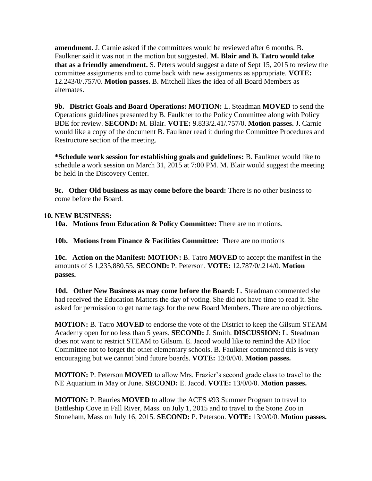**amendment.** J. Carnie asked if the committees would be reviewed after 6 months. B. Faulkner said it was not in the motion but suggested. **M. Blair and B. Tatro would take that as a friendly amendment.** S. Peters would suggest a date of Sept 15, 2015 to review the committee assignments and to come back with new assignments as appropriate. **VOTE:**  12.243/0/.757/0. **Motion passes.** B. Mitchell likes the idea of all Board Members as alternates.

**9b. District Goals and Board Operations: MOTION:** L. Steadman **MOVED** to send the Operations guidelines presented by B. Faulkner to the Policy Committee along with Policy BDE for review. **SECOND:** M. Blair. **VOTE:** 9.833/2.41/.757/0. **Motion passes.** J. Carnie would like a copy of the document B. Faulkner read it during the Committee Procedures and Restructure section of the meeting.

**\*Schedule work session for establishing goals and guidelines:** B. Faulkner would like to schedule a work session on March 31, 2015 at 7:00 PM. M. Blair would suggest the meeting be held in the Discovery Center.

**9c. Other Old business as may come before the board:** There is no other business to come before the Board.

### **10. NEW BUSINESS:**

**10a. Motions from Education & Policy Committee:** There are no motions.

**10b. Motions from Finance & Facilities Committee:** There are no motions

**10c. Action on the Manifest: MOTION:** B. Tatro **MOVED** to accept the manifest in the amounts of \$ 1,235,880.55. **SECOND:** P. Peterson. **VOTE:** 12.787/0/.214/0. **Motion passes.** 

**10d. Other New Business as may come before the Board:** L. Steadman commented she had received the Education Matters the day of voting. She did not have time to read it. She asked for permission to get name tags for the new Board Members. There are no objections.

**MOTION:** B. Tatro **MOVED** to endorse the vote of the District to keep the Gilsum STEAM Academy open for no less than 5 years. **SECOND:** J. Smith. **DISCUSSION:** L. Steadman does not want to restrict STEAM to Gilsum. E. Jacod would like to remind the AD Hoc Committee not to forget the other elementary schools. B. Faulkner commented this is very encouraging but we cannot bind future boards. **VOTE:** 13/0/0/0. **Motion passes.** 

**MOTION:** P. Peterson **MOVED** to allow Mrs. Frazier's second grade class to travel to the NE Aquarium in May or June. **SECOND:** E. Jacod. **VOTE:** 13/0/0/0. **Motion passes.** 

**MOTION:** P. Bauries **MOVED** to allow the ACES #93 Summer Program to travel to Battleship Cove in Fall River, Mass. on July 1, 2015 and to travel to the Stone Zoo in Stoneham, Mass on July 16, 2015. **SECOND:** P. Peterson. **VOTE:** 13/0/0/0. **Motion passes.**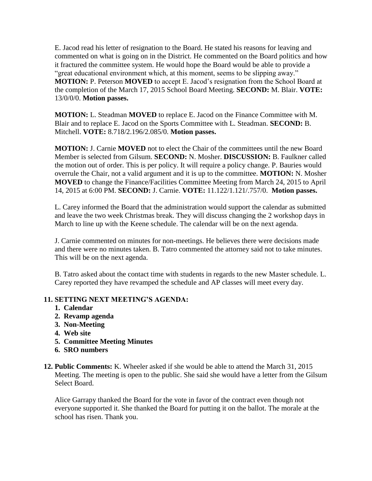E. Jacod read his letter of resignation to the Board. He stated his reasons for leaving and commented on what is going on in the District. He commented on the Board politics and how it fractured the committee system. He would hope the Board would be able to provide a "great educational environment which, at this moment, seems to be slipping away." **MOTION:** P. Peterson **MOVED** to accept E. Jacod's resignation from the School Board at the completion of the March 17, 2015 School Board Meeting. **SECOND:** M. Blair. **VOTE:**  13/0/0/0. **Motion passes.** 

**MOTION:** L. Steadman **MOVED** to replace E. Jacod on the Finance Committee with M. Blair and to replace E. Jacod on the Sports Committee with L. Steadman. **SECOND:** B. Mitchell. **VOTE:** 8.718/2.196/2.085/0. **Motion passes.** 

**MOTION:** J. Carnie **MOVED** not to elect the Chair of the committees until the new Board Member is selected from Gilsum. **SECOND:** N. Mosher. **DISCUSSION:** B. Faulkner called the motion out of order. This is per policy. It will require a policy change. P. Bauries would overrule the Chair, not a valid argument and it is up to the committee. **MOTION:** N. Mosher **MOVED** to change the Finance/Facilities Committee Meeting from March 24, 2015 to April 14, 2015 at 6:00 PM. **SECOND:** J. Carnie. **VOTE:** 11.122/1.121/.757/0. **Motion passes.** 

L. Carey informed the Board that the administration would support the calendar as submitted and leave the two week Christmas break. They will discuss changing the 2 workshop days in March to line up with the Keene schedule. The calendar will be on the next agenda.

J. Carnie commented on minutes for non-meetings. He believes there were decisions made and there were no minutes taken. B. Tatro commented the attorney said not to take minutes. This will be on the next agenda.

B. Tatro asked about the contact time with students in regards to the new Master schedule. L. Carey reported they have revamped the schedule and AP classes will meet every day.

# **11. SETTING NEXT MEETING'S AGENDA:**

- **1. Calendar**
- **2. Revamp agenda**
- **3. Non-Meeting**
- **4. Web site**
- **5. Committee Meeting Minutes**
- **6. SRO numbers**
- **12. Public Comments:** K. Wheeler asked if she would be able to attend the March 31, 2015 Meeting. The meeting is open to the public. She said she would have a letter from the Gilsum Select Board.

Alice Garrapy thanked the Board for the vote in favor of the contract even though not everyone supported it. She thanked the Board for putting it on the ballot. The morale at the school has risen. Thank you.